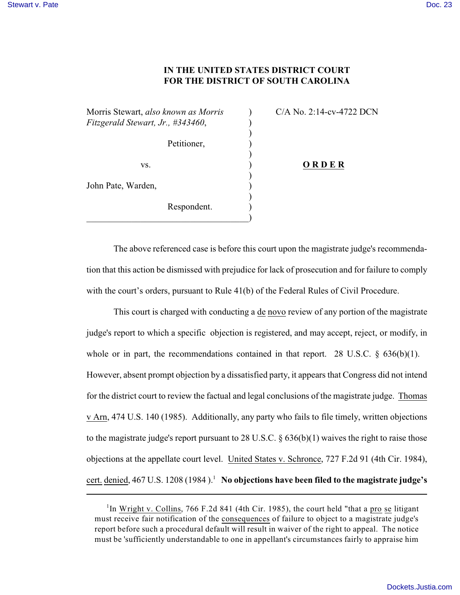## **IN THE UNITED STATES DISTRICT COURT FOR THE DISTRICT OF SOUTH CAROLINA**

)

)

Morris Stewart, *also known as Morris* ) C/A No. 2:14-cv-4722 DCN *Fitzgerald Stewart, Jr., #343460,*  $($ )

Petitioner, (1) )

 $)$ 

John Pate, Warden,

Respondent.  $\hspace{.5em}$   $\hspace{.5em}$   $\hspace{.5em}$   $\hspace{.5em}$   $\hspace{.5em}$   $\hspace{.5em}$   $\hspace{.5em}$   $\hspace{.5em}$   $\hspace{.5em}$   $\hspace{.5em}$   $\hspace{.5em}$   $\hspace{.5em}$   $\hspace{.5em}$   $\hspace{.5em}$   $\hspace{.5em}$   $\hspace{.5em}$   $\hspace{.5em}$   $\hspace{.5em}$   $\hspace{.5em}$   $\hspace{.5em}$ 

vs. ) **O R D E R**

The above referenced case is before this court upon the magistrate judge's recommendation that this action be dismissed with prejudice for lack of prosecution and for failure to comply with the court's orders, pursuant to Rule 41(b) of the Federal Rules of Civil Procedure.

This court is charged with conducting a de novo review of any portion of the magistrate judge's report to which a specific objection is registered, and may accept, reject, or modify, in whole or in part, the recommendations contained in that report. 28 U.S.C.  $\S$  636(b)(1). However, absent prompt objection by a dissatisfied party, it appears that Congress did not intend for the district court to review the factual and legal conclusions of the magistrate judge. Thomas v Arn, 474 U.S. 140 (1985). Additionally, any party who fails to file timely, written objections to the magistrate judge's report pursuant to 28 U.S.C. § 636(b)(1) waives the right to raise those objections at the appellate court level. United States v. Schronce, 727 F.2d 91 (4th Cir. 1984), cert. denied, 467 U.S. 1208 (1984).<sup>1</sup> No objections have been filed to the magistrate judge's

<sup>&</sup>lt;sup>1</sup>In Wright v. Collins, 766 F.2d 841 (4th Cir. 1985), the court held "that a pro se litigant must receive fair notification of the consequences of failure to object to a magistrate judge's report before such a procedural default will result in waiver of the right to appeal. The notice must be 'sufficiently understandable to one in appellant's circumstances fairly to appraise him